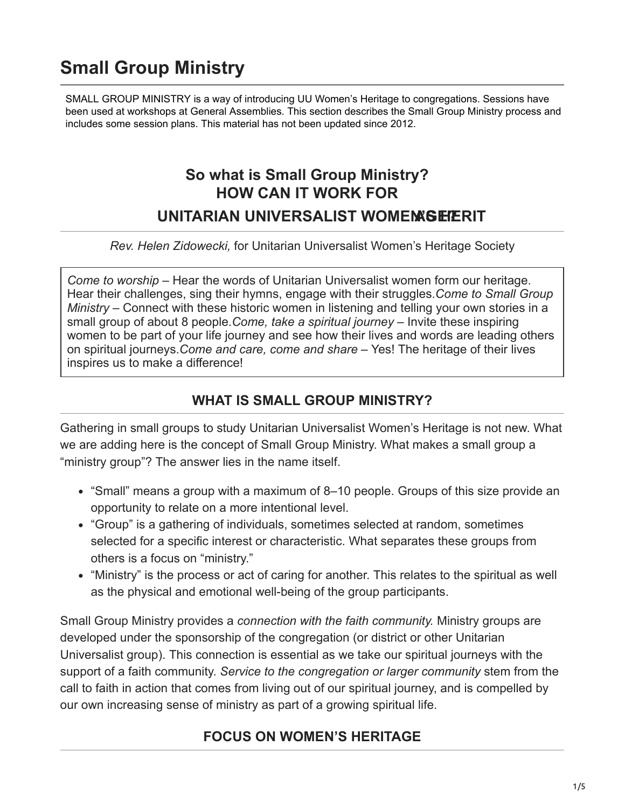# **Small Group Ministry**

[SMALL GROUP MINISTRY is a way of introducing UU Women's Heritage to congregations. Sessions have](https://uuhhs.org/womens-history/small-group-ministry/)  been used at workshops at General Assemblies. This section describes the Small Group Ministry process and includes some session plans. This material has not been updated since 2012.

## **So what is Small Group Ministry? HOW CAN IT WORK FOR UNITARIAN UNIVERSALIST WOMEN SEPERIT**

*Rev. Helen Zidowecki,* for Unitarian Universalist Women's Heritage Society

*Come to worship* – Hear the words of Unitarian Universalist women form our heritage. Hear their challenges, sing their hymns, engage with their struggles.*Come to Small Group Ministry* – Connect with these historic women in listening and telling your own stories in a small group of about 8 people.*Come, take a spiritual journey* – Invite these inspiring women to be part of your life journey and see how their lives and words are leading others on spiritual journeys.*Come and care, come and share* – Yes! The heritage of their lives inspires us to make a difference!

#### **WHAT IS SMALL GROUP MINISTRY?**

Gathering in small groups to study Unitarian Universalist Women's Heritage is not new. What we are adding here is the concept of Small Group Ministry. What makes a small group a "ministry group"? The answer lies in the name itself.

- "Small" means a group with a maximum of 8–10 people. Groups of this size provide an opportunity to relate on a more intentional level.
- "Group" is a gathering of individuals, sometimes selected at random, sometimes selected for a specific interest or characteristic. What separates these groups from others is a focus on "ministry."
- "Ministry" is the process or act of caring for another. This relates to the spiritual as well as the physical and emotional well-being of the group participants.

Small Group Ministry provides a *connection with the faith community.* Ministry groups are developed under the sponsorship of the congregation (or district or other Unitarian Universalist group). This connection is essential as we take our spiritual journeys with the support of a faith community. *Service to the congregation or larger community* stem from the call to faith in action that comes from living out of our spiritual journey, and is compelled by our own increasing sense of ministry as part of a growing spiritual life.

### **FOCUS ON WOMEN'S HERITAGE**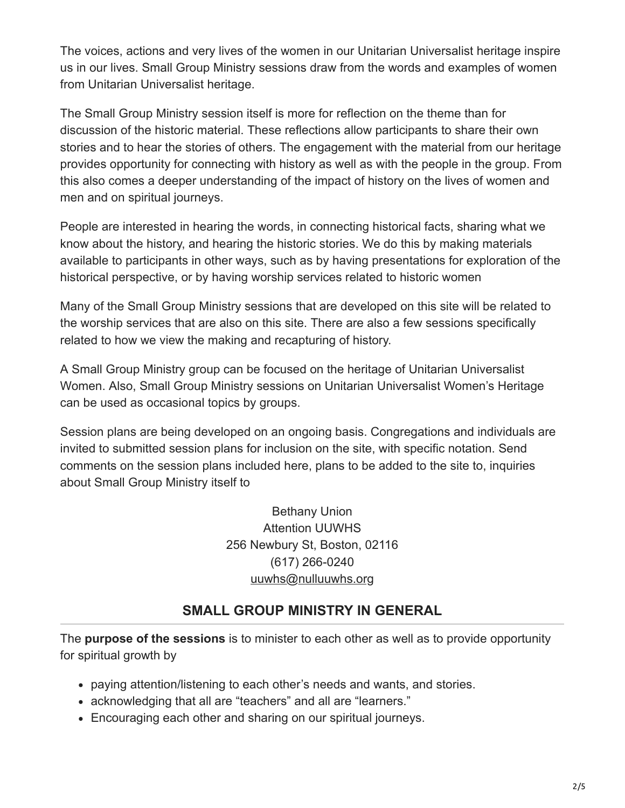The voices, actions and very lives of the women in our Unitarian Universalist heritage inspire us in our lives. Small Group Ministry sessions draw from the words and examples of women from Unitarian Universalist heritage.

The Small Group Ministry session itself is more for reflection on the theme than for discussion of the historic material. These reflections allow participants to share their own stories and to hear the stories of others. The engagement with the material from our heritage provides opportunity for connecting with history as well as with the people in the group. From this also comes a deeper understanding of the impact of history on the lives of women and men and on spiritual journeys.

People are interested in hearing the words, in connecting historical facts, sharing what we know about the history, and hearing the historic stories. We do this by making materials available to participants in other ways, such as by having presentations for exploration of the historical perspective, or by having worship services related to historic women

Many of the Small Group Ministry sessions that are developed on this site will be related to the worship services that are also on this site. There are also a few sessions specifically related to how we view the making and recapturing of history.

A Small Group Ministry group can be focused on the heritage of Unitarian Universalist Women. Also, Small Group Ministry sessions on Unitarian Universalist Women's Heritage can be used as occasional topics by groups.

Session plans are being developed on an ongoing basis. Congregations and individuals are invited to submitted session plans for inclusion on the site, with specific notation. Send comments on the session plans included here, plans to be added to the site to, inquiries about Small Group Ministry itself to

> Bethany Union Attention UUWHS 256 Newbury St, Boston, 02116 (617) 266-0240 [uuwhs@nulluuwhs.org](mailto:uuwhs@uuwhs.org)

### **SMALL GROUP MINISTRY IN GENERAL**

The **purpose of the sessions** is to minister to each other as well as to provide opportunity for spiritual growth by

- paying attention/listening to each other's needs and wants, and stories.
- acknowledging that all are "teachers" and all are "learners."
- Encouraging each other and sharing on our spiritual journeys.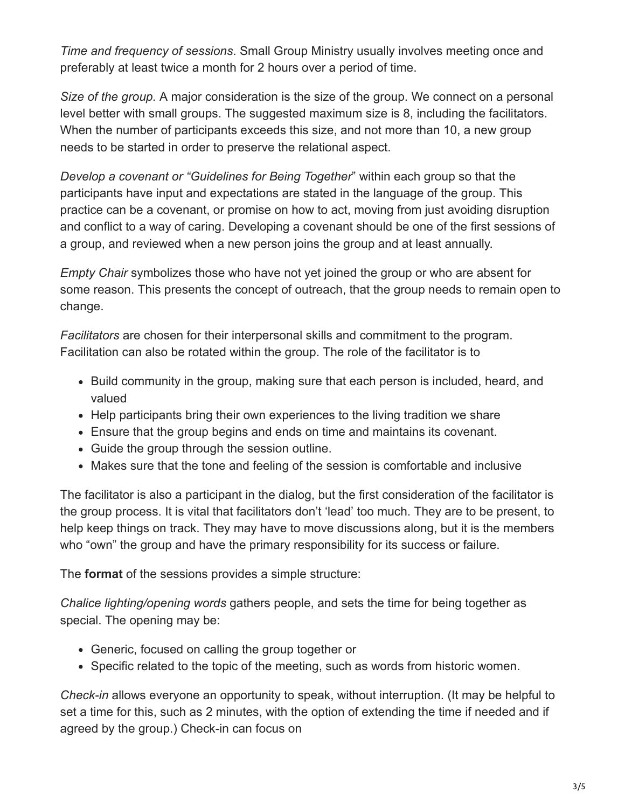*Time and frequency of sessions*. Small Group Ministry usually involves meeting once and preferably at least twice a month for 2 hours over a period of time.

*Size of the group.* A major consideration is the size of the group. We connect on a personal level better with small groups. The suggested maximum size is 8, including the facilitators. When the number of participants exceeds this size, and not more than 10, a new group needs to be started in order to preserve the relational aspect.

*Develop a covenant or "Guidelines for Being Together*" within each group so that the participants have input and expectations are stated in the language of the group. This practice can be a covenant, or promise on how to act, moving from just avoiding disruption and conflict to a way of caring. Developing a covenant should be one of the first sessions of a group, and reviewed when a new person joins the group and at least annually.

*Empty Chair* symbolizes those who have not yet joined the group or who are absent for some reason. This presents the concept of outreach, that the group needs to remain open to change.

*Facilitators* are chosen for their interpersonal skills and commitment to the program. Facilitation can also be rotated within the group. The role of the facilitator is to

- Build community in the group, making sure that each person is included, heard, and valued
- Help participants bring their own experiences to the living tradition we share
- Ensure that the group begins and ends on time and maintains its covenant.
- Guide the group through the session outline.
- Makes sure that the tone and feeling of the session is comfortable and inclusive

The facilitator is also a participant in the dialog, but the first consideration of the facilitator is the group process. It is vital that facilitators don't 'lead' too much. They are to be present, to help keep things on track. They may have to move discussions along, but it is the members who "own" the group and have the primary responsibility for its success or failure.

The **format** of the sessions provides a simple structure:

*Chalice lighting/opening words* gathers people, and sets the time for being together as special. The opening may be:

- Generic, focused on calling the group together or
- Specific related to the topic of the meeting, such as words from historic women.

*Check-in* allows everyone an opportunity to speak, without interruption. (It may be helpful to set a time for this, such as 2 minutes, with the option of extending the time if needed and if agreed by the group.) Check-in can focus on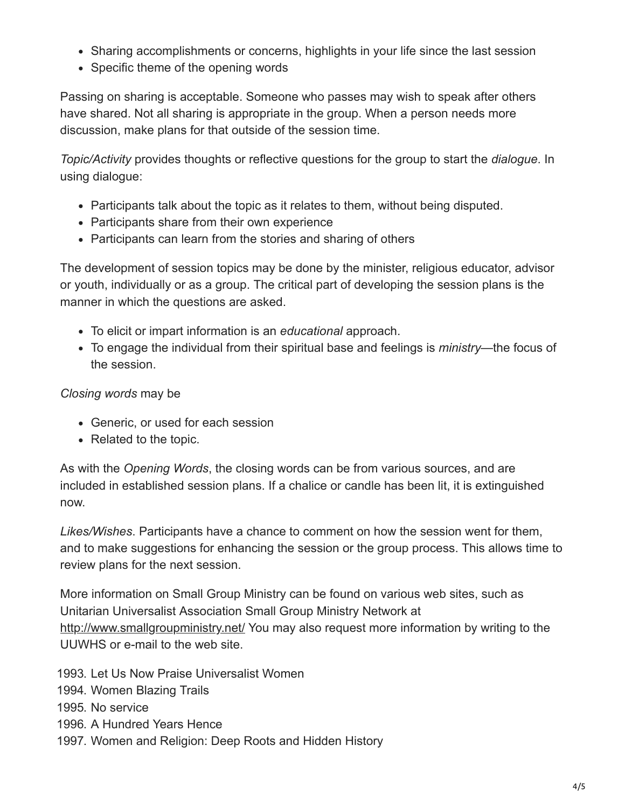- Sharing accomplishments or concerns, highlights in your life since the last session
- Specific theme of the opening words

Passing on sharing is acceptable. Someone who passes may wish to speak after others have shared. Not all sharing is appropriate in the group. When a person needs more discussion, make plans for that outside of the session time.

*Topic/Activity* provides thoughts or reflective questions for the group to start the *dialogue*. In using dialogue:

- Participants talk about the topic as it relates to them, without being disputed.
- Participants share from their own experience
- Participants can learn from the stories and sharing of others

The development of session topics may be done by the minister, religious educator, advisor or youth, individually or as a group. The critical part of developing the session plans is the manner in which the questions are asked.

- To elicit or impart information is an *educational* approach.
- To engage the individual from their spiritual base and feelings is *ministry*—the focus of the session.

#### *Closing words* may be

- Generic, or used for each session
- Related to the topic.

As with the *Opening Words*, the closing words can be from various sources, and are included in established session plans. If a chalice or candle has been lit, it is extinguished now.

*Likes/Wishes*. Participants have a chance to comment on how the session went for them, and to make suggestions for enhancing the session or the group process. This allows time to review plans for the next session.

More information on Small Group Ministry can be found on various web sites, such as Unitarian Universalist Association Small Group Ministry Network at <http://www.smallgroupministry.net/> You may also request more information by writing to the UUWHS or e-mail to the web site.

1993. Let Us Now Praise Universalist Women

- 1994. Women Blazing Trails
- 1995. No service
- 1996. A Hundred Years Hence
- 1997. Women and Religion: Deep Roots and Hidden History